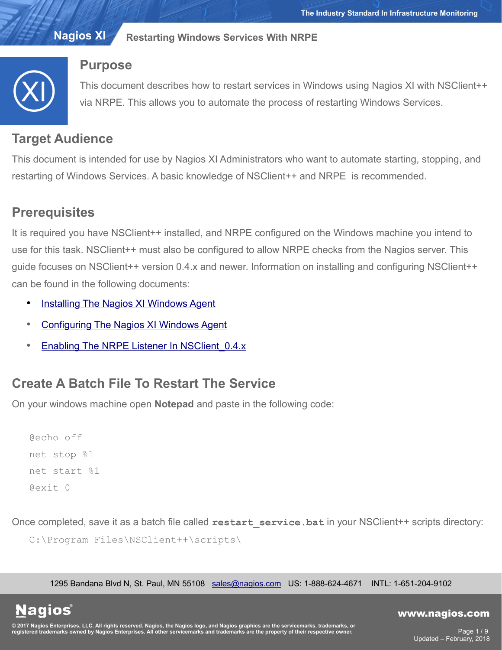

## **Purpose**

This document describes how to restart services in Windows using Nagios XI with NSClient++ via NRPE. This allows you to automate the process of restarting Windows Services.

# **Target Audience**

This document is intended for use by Nagios XI Administrators who want to automate starting, stopping, and restarting of Windows Services. A basic knowledge of NSClient++ and NRPE is recommended.

# **Prerequisites**

It is required you have NSClient++ installed, and NRPE configured on the Windows machine you intend to use for this task. NSClient++ must also be configured to allow NRPE checks from the Nagios server. This guide focuses on NSClient++ version 0.4.x and newer. Information on installing and configuring NSClient++ can be found in the following documents:

- **[Installing The Nagios XI Windows Agent](https://assets.nagios.com/downloads/nagiosxi/docs/Installing_The_XI_Windows_Agent.pdf)**
- [Configuring The Nagios XI Windows Agent](https://assets.nagios.com/downloads/nagiosxi/docs/Configuring_The_XI_Windows_Agent.pdf)
- Enabling The NRPE Listener In NSClient 0.4.x

# **Create A Batch File To Restart The Service**

On your windows machine open **Notepad** and paste in the following code:

@echo off net stop %1 net start %1 @exit 0

Once completed, save it as a batch file called **restart** service.bat in your NSClient++ scripts directory:

```
C:\Program Files\NSClient++\scripts\
```
1295 Bandana Blvd N, St. Paul, MN 55108 [sales@nagios.com](mailto:sales@nagios.com) US: 1-888-624-4671 INTL: 1-651-204-9102

**Nagios®** 

#### [www.nagios.com](https://www.nagios.com/)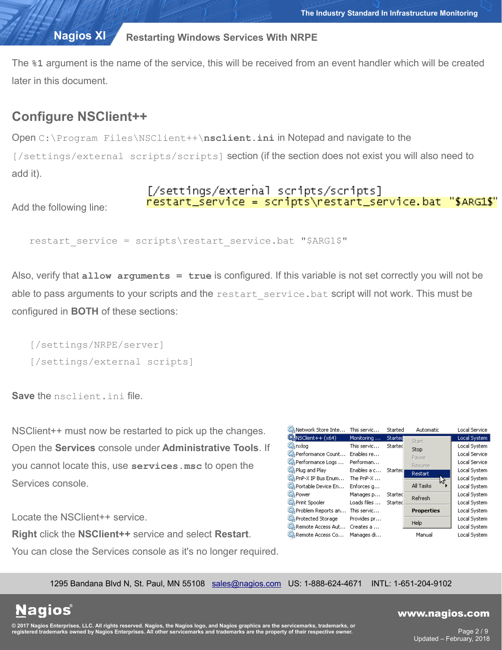The **%1** argument is the name of the service, this will be received from an event handler which will be created later in this document.

# **Configure NSClient++**

Open C:\Program Files\NSClient++\**nsclient.ini** in Notepad and navigate to the [/settings/external scripts/scripts] section (if the section does not exist you will also need to add it).

### [/settings/external scripts/scripts] nestant\_service = scripts\restart\_service.bat "\$ARG1\$"

Add the following line:

```
restart service = scripts\restart service.bat "$ARG1$"
```
Also, verify that **allow arguments = true** is configured. If this variable is not set correctly you will not be able to pass arguments to your scripts and the restart service.bat script will not work. This must be configured in **BOTH** of these sections:

```
[/settings/NRPE/server]
[/settings/external scripts]
```
**Save** the nsclient.ini file.

NSClient++ must now be restarted to pick up the changes. Open the **Services** console under **Administrative Tools**. If you cannot locate this, use **services.msc** to open the Services console.

Locate the NSClient++ service.

**Right** click the **NSClient++** service and select **Restart**. You can close the Services console as it's no longer required.

| Network Store Inte          | This servic         | Started | Automatic         | Local Service |
|-----------------------------|---------------------|---------|-------------------|---------------|
| NSClient++ (x64)            | Monitoring          | Started | Start             | Local System  |
| C <sub>k</sub> nxlog        | This servic         | Started | <b>Stop</b>       | Local System  |
| C. Performance Count        | Enables re          |         | Pause             | Local Service |
| Performance Logs            | Performan           |         | Resume            | Local Service |
| Plug and Play               | Enables a c         | Started | <b>Restart</b>    | Local System  |
| C. PnP-X IP Bus Enum        | The PnP- $X \ldots$ |         | ٣۶                | Local System  |
| CA Portable Device En       | Enforces g          |         | All Tasks         | Local System  |
| O Power                     | Manages p           | Started | Refresh           | Local System  |
| Print Spooler               | Loads files         | Started |                   | Local System  |
| Problem Reports an          | This servic         |         | <b>Properties</b> | Local System  |
| Protected Storage           | Provides pr         |         |                   | Local System  |
| <b>CA</b> Remote Access Aut | Creates a           |         | Help              | Local System  |
| CA Remote Access Co         | Manages di…         |         | Manual            | Local System  |

1295 Bandana Blvd N, St. Paul, MN 55108 [sales@nagios.com](mailto:sales@nagios.com) US: 1-888-624-4671 INTL: 1-651-204-9102

**Nagios®** 

#### [www.nagios.com](https://www.nagios.com/)

© 2017 Nagios Enterprises, LLC. All rights reserved. Nagios, the Nagios logo, and Nagios graphics are the servicemarks, trademarks, or<br>registered trademarks owned by Nagios Enterprises. All other servicemarks and trademark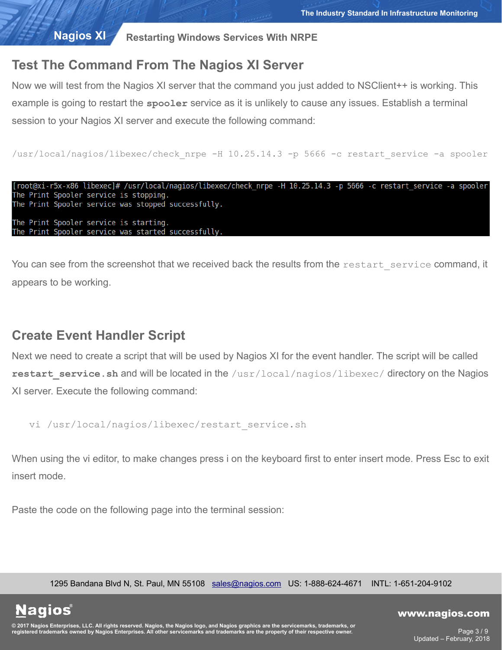# **Test The Command From The Nagios XI Server**

Now we will test from the Nagios XI server that the command you just added to NSClient++ is working. This example is going to restart the **spooler** service as it is unlikely to cause any issues. Establish a terminal session to your Nagios XI server and execute the following command:

/usr/local/nagios/libexec/check\_nrpe -H 10.25.14.3 -p 5666 -c restart\_service -a spooler

```
[root@xi-r5x-x86 libexec]# /usr/local/nagios/libexec/check nrpe -H 10.25.14.3 -p 5666 -c restart service -a spooler
The Print Spooler service is stopping.
The Print Spooler service was stopped successfully.
The Print Spooler service is starting.
The Print Spooler service was started successfully.
```
You can see from the screenshot that we received back the results from the restart service command, it appears to be working.

## **Create Event Handler Script**

Next we need to create a script that will be used by Nagios XI for the event handler. The script will be called restart service.sh and will be located in the /usr/local/nagios/libexec/ directory on the Nagios XI server. Execute the following command:

```
vi /usr/local/nagios/libexec/restart_service.sh
```
When using the vi editor, to make changes press i on the keyboard first to enter insert mode. Press Esc to exit insert mode.

Paste the code on the following page into the terminal session:

1295 Bandana Blvd N, St. Paul, MN 55108 [sales@nagios.com](mailto:sales@nagios.com) US: 1-888-624-4671 INTL: 1-651-204-9102

**Nagios®** 

#### [www.nagios.com](https://www.nagios.com/)

© 2017 Nagios Enterprises, LLC. All rights reserved. Nagios, the Nagios logo, and Nagios graphics are the servicemarks, trademarks, or<br>registered trademarks owned by Nagios Enterprises. All other servicemarks and trademark

Page 3 / 9 Updated – February, 2018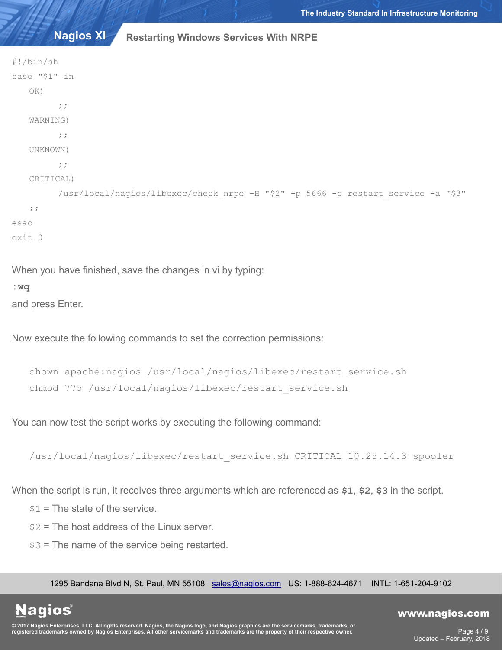```
#!/bin/sh
case "$1" in
   OK)
         ;;
   WARNING)
         ;;
   UNKNOWN)
         ;;
   CRITICAL)
         /usr/local/nagios/libexec/check_nrpe -H "$2" -p 5666 -c restart_service -a "$3"
   ;;
esac
exit 0
```
When you have finished, save the changes in vi by typing:

**:wq** 

and press Enter.

Now execute the following commands to set the correction permissions:

```
chown apache:nagios /usr/local/nagios/libexec/restart_service.sh
chmod 775 /usr/local/nagios/libexec/restart_service.sh
```
You can now test the script works by executing the following command:

```
/usr/local/nagios/libexec/restart_service.sh CRITICAL 10.25.14.3 spooler
```
When the script is run, it receives three arguments which are referenced as **\$1**, **\$2**, **\$3** in the script.

 $$1$  = The state of the service.

 $$2$  = The host address of the Linux server.

 $$3$  = The name of the service being restarted.

1295 Bandana Blvd N, St. Paul, MN 55108 [sales@nagios.com](mailto:sales@nagios.com) US: 1-888-624-4671 INTL: 1-651-204-9102

**Nagios®** 

#### [www.nagios.com](https://www.nagios.com/)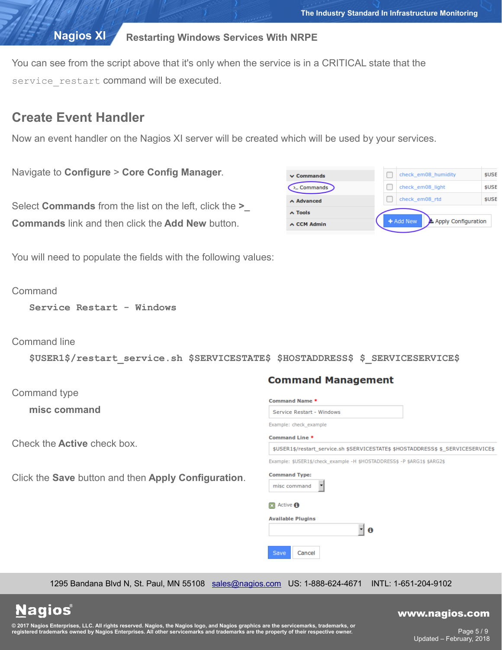You can see from the script above that it's only when the service is in a CRITICAL state that the service restart command will be executed.

## **Create Event Handler**

Now an event handler on the Nagios XI server will be created which will be used by your services.

Navigate to **Configure** > **Core Config Manager**.

Select **Commands** from the list on the left, click the **>\_ Commands** link and then click the **Add New** button.

| $\triangle$ Tools<br>$\lambda$ CCM Admin | + Add New           | Apply Configuration |
|------------------------------------------|---------------------|---------------------|
| $\land$ Advanced                         | check em08 rtd      | \$USI               |
| $\Sigma$ Commands                        | check em08 light    | \$USI               |
| $\vee$ Commands                          | check em08 humidity | \$USI               |
|                                          |                     |                     |

You will need to populate the fields with the following values:

**Command** 

**Service Restart - Windows**

Command line

**\$USER1\$/restart\_service.sh \$SERVICESTATE\$ \$HOSTADDRESS\$ \$\_SERVICESERVICE\$**

Command type

**misc command**

Check the **Active** check box.

Click the **Save** button and then **Apply Configuration**.

| Command Name *                              |                                                                                 |
|---------------------------------------------|---------------------------------------------------------------------------------|
|                                             | Service Restart - Windows                                                       |
|                                             | Example: check_example                                                          |
| Command Line *                              |                                                                                 |
|                                             | \$USER1\$/restart_service.sh \$SERVICESTATE\$ \$HOSTADDRESS\$ \$_SERVICESERVICE |
|                                             | Example: \$USER1\$/check_example -H \$HOSTADDRESS\$ -P \$ARG1\$ \$ARG2\$        |
| <b>Command Type:</b>                        |                                                                                 |
| misc command                                |                                                                                 |
| Active <b>O</b><br><b>Available Plugins</b> |                                                                                 |
| Save                                        | Cancel                                                                          |

1295 Bandana Blvd N, St. Paul, MN 55108 [sales@nagios.com](mailto:sales@nagios.com) US: 1-888-624-4671 INTL: 1-651-204-9102

**Nagios®** 

#### [www.nagios.com](https://www.nagios.com/)

© 2017 Nagios Enterprises, LLC. All rights reserved. Nagios, the Nagios logo, and Nagios graphics are the servicemarks, trademarks, or<br>registered trademarks owned by Nagios Enterprises. All other servicemarks and trademark

Page 5 / 9 Updated – February, 2018

### **Command Management**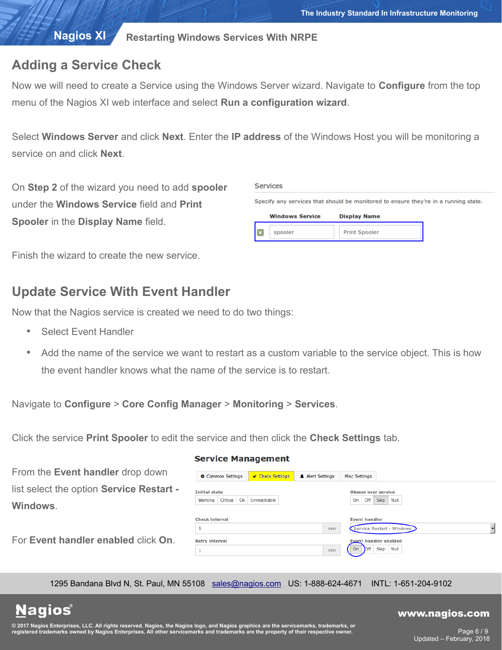# **Adding a Service Check**

Now we will need to create a Service using the Windows Server wizard. Navigate to **Configure** from the top menu of the Nagios XI web interface and select **Run a configuration wizard**.

Select **Windows Server** and click **Next**. Enter the **IP address** of the Windows Host you will be monitoring a service on and click **Next**.

On **Step 2** of the wizard you need to add **spooler** under the **Windows Service** field and **Print Spooler** in the **Display Name** field.

| <b>Services</b> |                        |                                                                                     |
|-----------------|------------------------|-------------------------------------------------------------------------------------|
|                 |                        | Specify any services that should be monitored to ensure they're in a running state. |
|                 | <b>Windows Service</b> | <b>Display Name</b>                                                                 |
|                 | spooler                | <b>Print Spooler</b>                                                                |
|                 |                        |                                                                                     |

Finish the wizard to create the new service.

# **Update Service With Event Handler**

Now that the Nagios service is created we need to do two things:

- Select Event Handler
- Add the name of the service we want to restart as a custom variable to the service object. This is how the event handler knows what the name of the service is to restart.

Navigate to **Configure** > **Core Config Manager** > **Monitoring** > **Services**.

Click the service **Print Spooler** to edit the service and then click the **Check Settings** tab.

# **Service Management**

| From the Event handler drop down         | Common Settings       | ✔ Check Settings | A Alert Settings | <b>Misc Settings</b>       |                              |  |  |
|------------------------------------------|-----------------------|------------------|------------------|----------------------------|------------------------------|--|--|
| list select the option Service Restart - | <b>Initial state</b>  |                  |                  | <b>Obsess over service</b> |                              |  |  |
| Windows.                                 | Critical<br>Warning   | Ok Unreachable   |                  | On Off Skip Null           |                              |  |  |
|                                          | <b>Check interval</b> |                  |                  | <b>Event handler</b>       |                              |  |  |
|                                          |                       |                  | min              |                            | Service Restart - Windows    |  |  |
| For Event handler enabled click On.      | <b>Retry interval</b> |                  |                  |                            | <b>Event handler enabled</b> |  |  |
|                                          |                       |                  | min              | On                         | Off Skip Null                |  |  |
|                                          |                       |                  |                  |                            |                              |  |  |

1295 Bandana Blvd N, St. Paul, MN 55108 [sales@nagios.com](mailto:sales@nagios.com) US: 1-888-624-4671 INTL: 1-651-204-9102

# **Nagios®**

#### [www.nagios.com](https://www.nagios.com/)

© 2017 Nagios Enterprises, LLC. All rights reserved. Nagios, the Nagios logo, and Nagios graphics are the servicemarks, trademarks, or<br>registered trademarks owned by Nagios Enterprises. All other servicemarks and trademark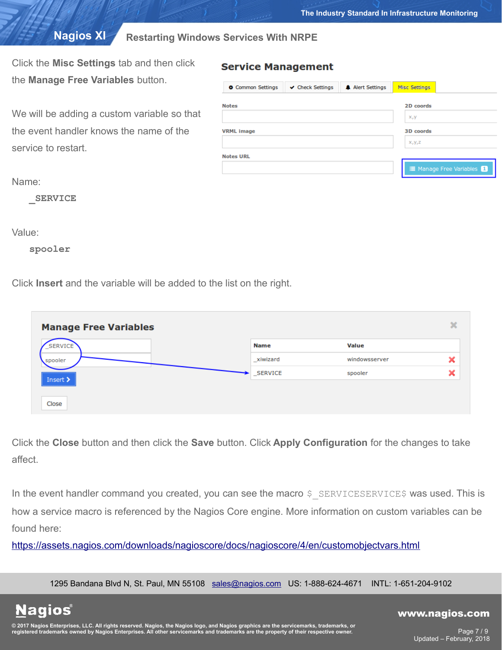Click the **Misc Settings** tab and then click the **Manage Free Variables** button.

We will be adding a custom variable so that the event handler knows the name of the service to restart.

| Common Settings   | $\vee$ Check Settings | A Alert Settings | <b>Misc Settings</b> |                             |
|-------------------|-----------------------|------------------|----------------------|-----------------------------|
| <b>Notes</b>      |                       |                  | 2D coords            |                             |
|                   |                       |                  | X, Y                 |                             |
| <b>VRML</b> image |                       |                  | 3D coords            |                             |
|                   |                       |                  | $X_1Y_1Z$            |                             |
| <b>Notes URL</b>  |                       |                  |                      |                             |
|                   |                       |                  |                      | ill Manage Free Variables 1 |

Name:

**\_SERVICE**

Value:

**spooler**

Click **Insert** and the variable will be added to the list on the right.

| <b>Manage Free Variables</b>     |             |               | ×                     |
|----------------------------------|-------------|---------------|-----------------------|
| <b>SERVICE</b>                   | <b>Name</b> | <b>Value</b>  |                       |
| spooler                          | _xiwizard   | windowsserver | ◚                     |
| <br>Insert $\blacktriangleright$ | _SERVICE    | spooler       | $\tilde{\phantom{a}}$ |
|                                  |             |               |                       |
| Close                            |             |               |                       |

**Service Management** 

Click the **Close** button and then click the **Save** button. Click **Apply Configuration** for the changes to take affect.

In the event handler command you created, you can see the macro \$ SERVICESERVICE\$ was used. This is how a service macro is referenced by the Nagios Core engine. More information on custom variables can be found here:

<https://assets.nagios.com/downloads/nagioscore/docs/nagioscore/4/en/customobjectvars.html>

1295 Bandana Blvd N, St. Paul, MN 55108 [sales@nagios.com](mailto:sales@nagios.com) US: 1-888-624-4671 INTL: 1-651-204-9102

**Nagios®** 

#### [www.nagios.com](https://www.nagios.com/)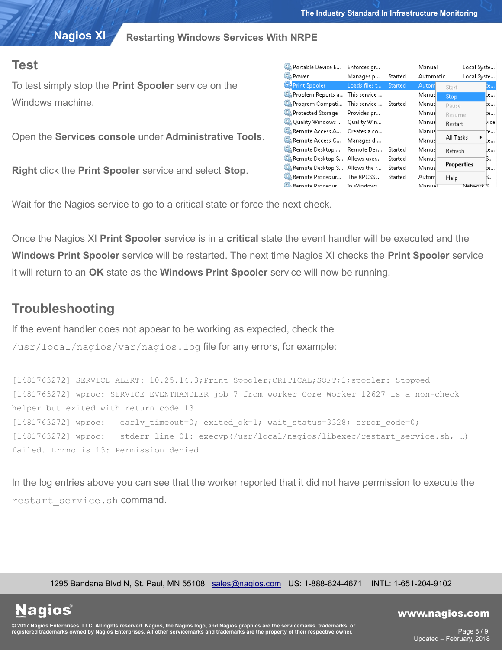## **Test**

To test simply stop the **Print Spooler** service on the Windows machine.

Open the **Services console** under **Administrative Tools**.

**Right** click the **Print Spooler** service and select **Stop**.

| C. Portable Device E          | Enforces gr   |                | Manual    | Local Syste       |        |
|-------------------------------|---------------|----------------|-----------|-------------------|--------|
| <b>O</b> Power                | Manages p     | Started        | Automatic | Local Syste       |        |
| <b>Print Spooler</b>          | Loads files t | <b>Started</b> | Autom     | Start             | te     |
| Problem Reports a             | This service  |                | Manual    | Stop              | te     |
| Program Compati               | This service  | Started        | Manual    | Pause             | þe     |
| Protected Storage             | Provides pr   |                | Manual    | Resume            | te     |
| Q. Quality Windows            | Quality Win   |                | Manual    | Restart           | lzice. |
| C. Remote Access A            | Creates a co  |                | Manual    |                   | te… 1  |
| C. Remote Access C            | Manages di    |                | Manual    | All Tasks         | te     |
| Remote Desktop                | Remote Des    | Started        | Manual    | Refresh           | te     |
| Remote Desktop S Allows user  |               | Started        | Manual    |                   | ß      |
| Remote Desktop S Allows the r |               | Started        | Manual    | <b>Properties</b> | te     |
| Remote Procedur The RPCSS     |               | Started        | Autom     | Help              | ß      |
| <b>C.</b> Remote Procedur     | In Windows    |                | ManuaT    | Network S         |        |

Wait for the Nagios service to go to a critical state or force the next check.

Once the Nagios XI **Print Spooler** service is in a **critical** state the event handler will be executed and the **Windows Print Spooler** service will be restarted. The next time Nagios XI checks the **Print Spooler** service it will return to an **OK** state as the **Windows Print Spooler** service will now be running.

# **Troubleshooting**

**Nagios**®

If the event handler does not appear to be working as expected, check the

/usr/local/nagios/var/nagios.log file for any errors, for example:

[1481763272] SERVICE ALERT: 10.25.14.3;Print Spooler;CRITICAL;SOFT;1;spooler: Stopped [1481763272] wproc: SERVICE EVENTHANDLER job 7 from worker Core Worker 12627 is a non-check helper but exited with return code 13 [1481763272] wproc: early timeout=0; exited ok=1; wait status=3328; error code=0; [1481763272] wproc: stderr line 01: execvp(/usr/local/nagios/libexec/restart\_service.sh, …) failed. Errno is 13: Permission denied

In the log entries above you can see that the worker reported that it did not have permission to execute the restart service.sh command.

1295 Bandana Blvd N, St. Paul, MN 55108 [sales@nagios.com](mailto:sales@nagios.com) US: 1-888-624-4671 INTL: 1-651-204-9102

© 2017 Nagios Enterprises, LLC. All rights reserved. Nagios, the Nagios logo, and Nagios graphics are the servicemarks, trademarks, or<br>registered trademarks owned by Nagios Enterprises. All other servicemarks and trademark

#### [www.nagios.com](https://www.nagios.com/)

Page 8 / 9 Updated – February, 2018